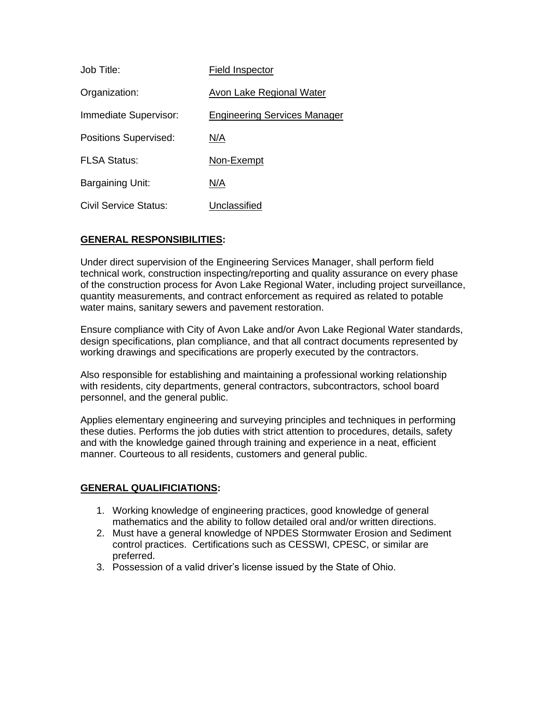| Job Title:                   | Field Inspector                     |
|------------------------------|-------------------------------------|
| Organization:                | Avon Lake Regional Water            |
| Immediate Supervisor:        | <b>Engineering Services Manager</b> |
| <b>Positions Supervised:</b> | N/A                                 |
| <b>FLSA Status:</b>          | Non-Exempt                          |
| Bargaining Unit:             | N/A                                 |
| Civil Service Status:        | Unclassified                        |

## **GENERAL RESPONSIBILITIES:**

Under direct supervision of the Engineering Services Manager, shall perform field technical work, construction inspecting/reporting and quality assurance on every phase of the construction process for Avon Lake Regional Water, including project surveillance, quantity measurements, and contract enforcement as required as related to potable water mains, sanitary sewers and pavement restoration.

Ensure compliance with City of Avon Lake and/or Avon Lake Regional Water standards, design specifications, plan compliance, and that all contract documents represented by working drawings and specifications are properly executed by the contractors.

Also responsible for establishing and maintaining a professional working relationship with residents, city departments, general contractors, subcontractors, school board personnel, and the general public.

Applies elementary engineering and surveying principles and techniques in performing these duties. Performs the job duties with strict attention to procedures, details, safety and with the knowledge gained through training and experience in a neat, efficient manner. Courteous to all residents, customers and general public.

## **GENERAL QUALIFICIATIONS:**

- 1. Working knowledge of engineering practices, good knowledge of general mathematics and the ability to follow detailed oral and/or written directions.
- 2. Must have a general knowledge of NPDES Stormwater Erosion and Sediment control practices. Certifications such as CESSWI, CPESC, or similar are preferred.
- 3. Possession of a valid driver's license issued by the State of Ohio.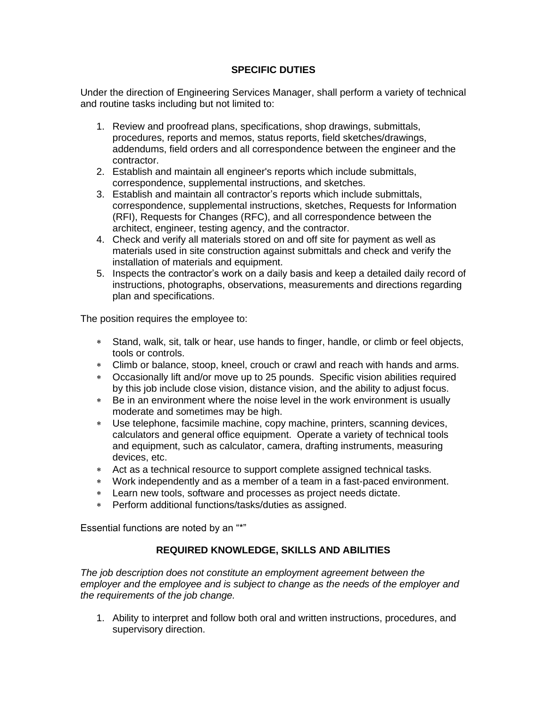## **SPECIFIC DUTIES**

Under the direction of Engineering Services Manager, shall perform a variety of technical and routine tasks including but not limited to:

- 1. Review and proofread plans, specifications, shop drawings, submittals, procedures, reports and memos, status reports, field sketches/drawings, addendums, field orders and all correspondence between the engineer and the contractor.
- 2. Establish and maintain all engineer's reports which include submittals, correspondence, supplemental instructions, and sketches.
- 3. Establish and maintain all contractor's reports which include submittals, correspondence, supplemental instructions, sketches, Requests for Information (RFI), Requests for Changes (RFC), and all correspondence between the architect, engineer, testing agency, and the contractor.
- 4. Check and verify all materials stored on and off site for payment as well as materials used in site construction against submittals and check and verify the installation of materials and equipment.
- 5. Inspects the contractor's work on a daily basis and keep a detailed daily record of instructions, photographs, observations, measurements and directions regarding plan and specifications.

The position requires the employee to:

- Stand, walk, sit, talk or hear, use hands to finger, handle, or climb or feel objects, tools or controls.
- Climb or balance, stoop, kneel, crouch or crawl and reach with hands and arms.
- Occasionally lift and/or move up to 25 pounds. Specific vision abilities required by this job include close vision, distance vision, and the ability to adjust focus.
- Be in an environment where the noise level in the work environment is usually moderate and sometimes may be high.
- Use telephone, facsimile machine, copy machine, printers, scanning devices, calculators and general office equipment. Operate a variety of technical tools and equipment, such as calculator, camera, drafting instruments, measuring devices, etc.
- Act as a technical resource to support complete assigned technical tasks.
- Work independently and as a member of a team in a fast-paced environment.
- Learn new tools, software and processes as project needs dictate.
- Perform additional functions/tasks/duties as assigned.

Essential functions are noted by an "\*"

## **REQUIRED KNOWLEDGE, SKILLS AND ABILITIES**

*The job description does not constitute an employment agreement between the employer and the employee and is subject to change as the needs of the employer and the requirements of the job change.*

1. Ability to interpret and follow both oral and written instructions, procedures, and supervisory direction.